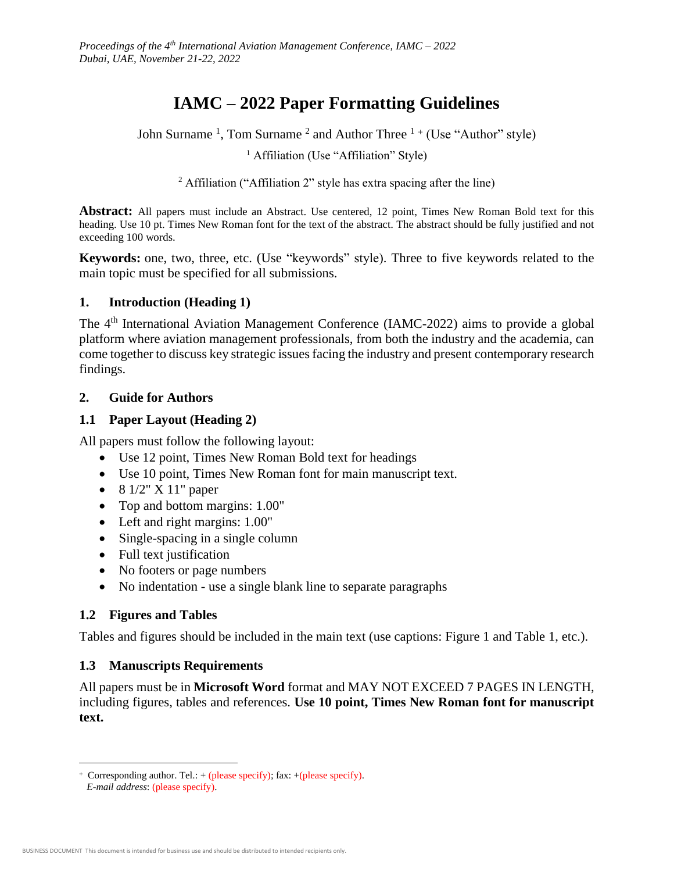# **IAMC – 2022 Paper Formatting Guidelines**

John Surname<sup>1</sup>, Tom Surname<sup>2</sup> and Author Three<sup>1+</sup> (Use "Author" style)

<sup>1</sup> Affiliation (Use "Affiliation" Style)

<sup>2</sup> Affiliation ("Affiliation 2" style has extra spacing after the line)

**Abstract:** All papers must include an Abstract. Use centered, 12 point, Times New Roman Bold text for this heading. Use 10 pt. Times New Roman font for the text of the abstract. The abstract should be fully justified and not exceeding 100 words.

**Keywords:** one, two, three, etc. (Use "keywords" style). Three to five keywords related to the main topic must be specified for all submissions.

#### **1. Introduction (Heading 1)**

The 4<sup>th</sup> International Aviation Management Conference (IAMC-2022) aims to provide a global platform where aviation management professionals, from both the industry and the academia, can come together to discuss key strategic issues facing the industry and present contemporary research findings.

#### **2. Guide for Authors**

## **1.1 Paper Layout (Heading 2)**

All papers must follow the following layout:

- Use 12 point, Times New Roman Bold text for headings
- Use 10 point, Times New Roman font for main manuscript text.
- $\bullet$  8 1/2" X 11" paper
- Top and bottom margins:  $1.00"$
- Left and right margins:  $1.00$ "
- Single-spacing in a single column
- Full text justification
- No footers or page numbers
- No indentation use a single blank line to separate paragraphs

## **1.2 Figures and Tables**

Tables and figures should be included in the main text (use captions: Figure 1 and Table 1, etc.).

## **1.3 Manuscripts Requirements**

All papers must be in **Microsoft Word** format and MAY NOT EXCEED 7 PAGES IN LENGTH, including figures, tables and references. **Use 10 point, Times New Roman font for manuscript text.**

 $\overline{a}$ 

<sup>+</sup> Corresponding author. Tel.:  $+$  (please specify); fax:  $+$  (please specify).

*E-mail address*: (please specify).